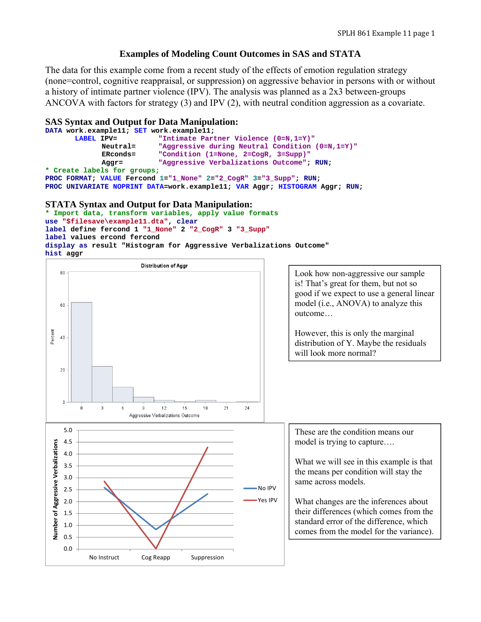# **Examples of Modeling Count Outcomes in SAS and STATA**

The data for this example come from a recent study of the effects of emotion regulation strategy (none=control, cognitive reappraisal, or suppression) on aggressive behavior in persons with or without a history of intimate partner violence (IPV). The analysis was planned as a 2x3 between-groups ANCOVA with factors for strategy (3) and IPV (2), with neutral condition aggression as a covariate.

# **SAS Syntax and Output for Data Manipulation:**

**DATA work.example11; SET work.example11;**  "Intimate Partner Violence (0=N,1=Y)"  **Neutral= "Aggressive during Neutral Condition (0=N,1=Y)" ERconds= "Condition (1=None, 2=CogR, 3=Supp)" Aggr= "Aggressive Verbalizations Outcome"; RUN; \* Create labels for groups; PROC FORMAT; VALUE Fercond 1="1\_None" 2="2\_CogR" 3="3\_Supp"; RUN; PROC UNIVARIATE NOPRINT DATA=work.example11; VAR Aggr; HISTOGRAM Aggr; RUN;** 

# **STATA Syntax and Output for Data Manipulation:**

```
* Import data, transform variables, apply value formats 
use "$filesave\example11.dta", clear
label define fercond 1 "1_None" 2 "2_CogR" 3 "3_Supp"
label values ercond fercond 
display as result "Histogram for Aggressive Verbalizations Outcome" 
hist aggr
```
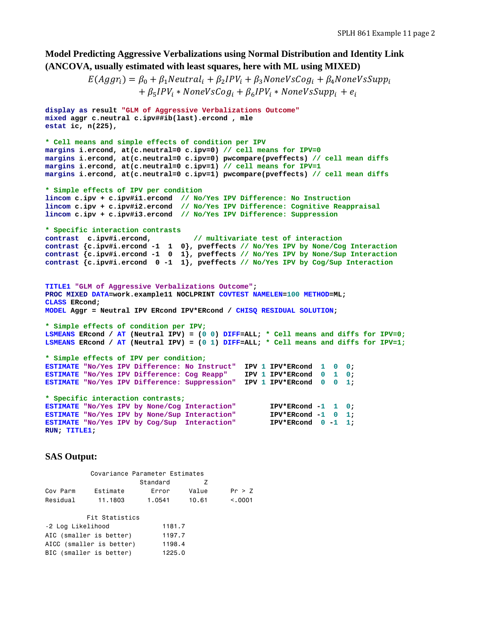# **Model Predicting Aggressive Verbalizations using Normal Distribution and Identity Link (ANCOVA, usually estimated with least squares, here with ML using MIXED)**

```
E(Aggr_i) = \beta_0 + \beta_1 Neutrali + \beta_2 IPV_i + \beta_3 NoneVsCog_i + \beta_4 NoneVsSupp_i+ \beta_5 IPV_i * NoneVsCog_i + \beta_6 IPV_i * NoneVsSupp_i + e_i
```

```
display as result "GLM of Aggressive Verbalizations Outcome"
mixed aggr c.neutral c.ipv##ib(last).ercond , mle 
estat ic, n(225), 
* Cell means and simple effects of condition per IPV 
margins i.ercond, at(c.neutral=0 c.ipv=0) // cell means for IPV=0
margins i.ercond, at(c.neutral=0 c.ipv=0) pwcompare(pveffects) // cell mean diffs
margins i.ercond, at(c.neutral=0 c.ipv=1) // cell means for IPV=1
margins i.ercond, at(c.neutral=0 c.ipv=1) pwcompare(pveffects) // cell mean diffs
* Simple effects of IPV per condition 
lincom c.ipv + c.ipv#i1.ercond // No/Yes IPV Difference: No Instruction
lincom c.ipv + c.ipv#i2.ercond // No/Yes IPV Difference: Cognitive Reappraisal
lincom c.ipv + c.ipv#i3.ercond // No/Yes IPV Difference: Suppression
* Specific interaction contrasts 
                                  // multivariate test of interaction
contrast {c.ipv#i.ercond -1 1 0}, pveffects // No/Yes IPV by None/Cog Interaction
contrast {c.ipv#i.ercond -1 0 1}, pveffects // No/Yes IPV by None/Sup Interaction 
contrast {c.ipv#i.ercond 0 -1 1}, pveffects // No/Yes IPV by Cog/Sup Interaction
TITLE1 "GLM of Aggressive Verbalizations Outcome"; 
PROC MIXED DATA=work.example11 NOCLPRINT COVTEST NAMELEN=100 METHOD=ML; 
CLASS ERcond; 
MODEL Aggr = Neutral IPV ERcond IPV*ERcond / CHISQ RESIDUAL SOLUTION; 
* Simple effects of condition per IPV;
LSMEANS ERcond / AT (Neutral IPV) = (0 0) DIFF=ALL; * Cell means and diffs for IPV=0;
LSMEANS ERcond / AT (Neutral IPV) = (0 1) DIFF=ALL; * Cell means and diffs for IPV=1;
* Simple effects of IPV per condition;
ESTIMATE "No/Yes IPV Difference: No Instruct" IPV 1 IPV*ERcond 1 0 0; 
ESTIMATE "No/Yes IPV Difference: Cog Reapp" IPV 1 IPV*ERcond 0 1 0; 
ESTIMATE "No/Yes IPV Difference: Suppression" IPV 1 IPV*ERcond 0 0 1; 
* Specific interaction contrasts;
ESTIMATE "No/Yes IPV by None/Cog Interaction" IPV*ERcond -1 1 0; 
ESTIMATE "No/Yes IPV by None/Sup Interaction" IPV*ERcond -1 0 1; 
ESTIMATE "No/Yes IPV by Cog/Sup Interaction" IPV*ERcond 0 -1 1; 
RUN; TITLE1;
```
### **SAS Output:**

|                   | Covariance Parameter Estimates |          |       |         |  |  |  |  |  |  |
|-------------------|--------------------------------|----------|-------|---------|--|--|--|--|--|--|
|                   |                                | Standard | 7     |         |  |  |  |  |  |  |
| Cov Parm          | Fstimate                       | Frror    | Value | Pr > 7  |  |  |  |  |  |  |
| Residual          | 11,1803                        | 1.0541   | 10.61 | < 0.001 |  |  |  |  |  |  |
|                   | Fit Statistics                 |          |       |         |  |  |  |  |  |  |
| -2 Log Likelihood |                                | 1181.7   |       |         |  |  |  |  |  |  |
|                   | AIC (smaller is better)        | 1197.7   |       |         |  |  |  |  |  |  |
|                   | AICC (smaller is better)       | 1198.4   |       |         |  |  |  |  |  |  |
|                   | BIC (smaller is better)        | 1225.0   |       |         |  |  |  |  |  |  |
|                   |                                |          |       |         |  |  |  |  |  |  |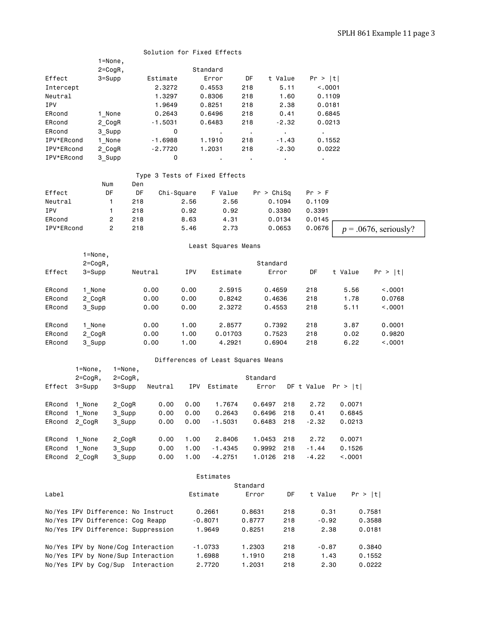|            |             |                |                               |            | Solution for Fixed Effects         |                |            |                |                |                       |                          |
|------------|-------------|----------------|-------------------------------|------------|------------------------------------|----------------|------------|----------------|----------------|-----------------------|--------------------------|
|            |             | $1 = None,$    |                               |            |                                    |                |            |                |                |                       |                          |
|            |             | 2=CogR,        |                               |            | Standard                           |                |            |                |                |                       |                          |
| Effect     |             | $3 =$ Supp     | Estimate                      |            | Error                              | DF             |            | t Value        | Pr >  t        |                       |                          |
| Intercept  |             |                | 2.3272                        |            | 0.4553                             | 218            |            | 5.11           | < .0001        |                       |                          |
| Neutral    |             |                | 1.3297                        |            | 0.8306                             | 218            |            | 1.60           | 0.1109         |                       |                          |
| IPV        |             |                | 1.9649                        |            | 0.8251                             | 218            |            | 2.38           | 0.0181         |                       |                          |
|            |             |                |                               |            |                                    |                |            |                |                |                       |                          |
| ERcond     |             | 1 None         | 0.2643                        |            | 0.6496                             | 218            |            | 0.41           | 0.6845         |                       |                          |
| ERcond     |             | 2_CogR         | $-1.5031$                     |            | 0.6483                             | 218            |            | $-2.32$        | 0.0213         |                       |                          |
| ERcond     |             | 3 Supp         |                               | 0          |                                    | $\blacksquare$ |            | $\mathbf{r}$ . | $\blacksquare$ |                       |                          |
| IPV*ERcond |             | 1 None         | $-1.6988$                     |            | 1.1910                             | 218            |            | $-1.43$        | 0.1552         |                       |                          |
| IPV*ERcond |             | 2 CogR         | $-2.7720$                     |            | 1.2031                             | 218            |            | $-2.30$        | 0.0222         |                       |                          |
| IPV*ERcond |             | 3_Supp         |                               | 0          |                                    |                |            |                |                |                       |                          |
|            |             |                | Type 3 Tests of Fixed Effects |            |                                    |                |            |                |                |                       |                          |
|            |             | Num            | Den                           |            |                                    |                |            |                |                |                       |                          |
| Effect     |             | DF             | DF                            | Chi-Square | F Value                            |                | Pr > Chisq |                | Pr > F         |                       |                          |
| Neutral    |             | 1              | 218                           | 2.56       | 2.56                               |                | 0.1094     |                | 0.1109         |                       |                          |
| IPV        |             | 1              | 218                           | 0.92       | 0.92                               |                | 0.3380     |                | 0.3391         |                       |                          |
| ERcond     |             | 2              | 218                           | 8.63       | 4.31                               |                | 0.0134     |                | 0.0145         |                       |                          |
|            |             | $\overline{c}$ |                               |            |                                    |                |            |                |                |                       |                          |
| IPV*ERcond |             |                | 218                           | 5.46       | 2.73                               |                | 0.0653     |                | 0.0676         |                       | $p = .0676$ , seriously? |
|            |             |                |                               |            | Least Squares Means                |                |            |                |                |                       |                          |
|            | $1 = None,$ |                |                               |            |                                    |                |            |                |                |                       |                          |
|            | $2 = CogR,$ |                |                               |            |                                    |                | Standard   |                |                |                       |                          |
| Effect     | $3 =$ Supp  |                | Neutral                       | IPV        | Estimate                           |                | Error      |                | DF             | t Value               | Pr >  t                  |
| ERcond     | 1 None      |                | 0.00                          | 0.00       | 2.5915                             |                | 0.4659     |                | 218            | 5.56                  | < .0001                  |
| ERcond     | 2_CogR      |                | 0.00                          | 0.00       | 0.8242                             |                | 0.4636     |                | 218            | 1.78                  | 0.0768                   |
| ERcond     | 3 Supp      |                | 0.00                          | 0.00       | 2.3272                             |                | 0.4553     |                | 218            | 5.11                  | < .0001                  |
|            |             |                |                               |            |                                    |                |            |                |                |                       |                          |
| ERcond     | 1 None      |                | 0.00                          | 1.00       | 2.8577                             |                | 0.7392     |                | 218            | 3.87                  | 0.0001                   |
| ERcond     | 2 CogR      |                | 0.00                          | 1.00       | 0.01703                            |                | 0.7523     |                | 218            | 0.02                  | 0.9820                   |
| ERcond     | 3 Supp      |                | 0.00                          | 1.00       | 4.2921                             |                | 0.6904     |                | 218            | 6.22                  | < .0001                  |
|            |             |                |                               |            | Differences of Least Squares Means |                |            |                |                |                       |                          |
|            | $1 = None,$ | $1 = None,$    |                               |            |                                    |                |            |                |                |                       |                          |
|            | $2 = CogR,$ | 2=CogR,        |                               |            |                                    | Standard       |            |                |                |                       |                          |
| Effect     | $3 =$ Supp  | $3 = Supp$     | Neutral                       |            | IPV Estimate                       |                | Error      |                |                | DF t Value $Pr >  t $ |                          |
| ERcond     | 1 None      | 2_CogR         | 0.00                          | 0.00       | 1.7674                             |                | 0.6497     | 218            | 2.72           | 0.0071                |                          |
| ERcond     | 1 None      | 3_Supp         | 0.00                          | 0.00       | 0.2643                             |                | 0.6496     | 218            | 0.41           | 0.6845                |                          |
| ERcond     | 2_CogR      | 3_Supp         | 0.00                          | 0.00       | $-1.5031$                          |                | 0.6483     | 218            | $-2.32$        | 0.0213                |                          |
|            | 1 None      |                | 0.00                          | 1.00       | 2.8406                             |                | 1.0453     | 218            | 2.72           | 0.0071                |                          |
| ERcond     |             | 2_CogR         |                               |            |                                    |                |            | 218            |                |                       |                          |
| ERcond     | 1_None      | 3_Supp         | 0.00                          | 1.00       | $-1.4345$                          |                | 0.9992     |                | $-1.44$        | 0.1526                |                          |
| ERcond     | 2 CogR      | 3_Supp         | 0.00                          | 1.00       | $-4.2751$                          |                | 1.0126     | 218            | $-4.22$        | < .0001               |                          |
|            |             |                |                               |            | Estimates                          |                |            |                |                |                       |                          |
|            |             |                |                               |            |                                    | Standard       |            |                |                |                       |                          |
| Label      |             |                |                               |            | Estimate                           | Error          |            | DF             | t Value        | Pr >  t               |                          |

|  | No/Yes IPV Difference: Cog Reapp | No/Yes IPV Difference: No Instruct                                       | 0.2661<br>$-0.8071$ | 0.8631<br>0.8777 | 218<br>218 | 0.31<br>$-0.92$ | 0.7581<br>0.3588 |
|--|----------------------------------|--------------------------------------------------------------------------|---------------------|------------------|------------|-----------------|------------------|
|  |                                  | No/Yes IPV Difference: Suppression<br>No/Yes IPV by None/Cog Interaction | 1.9649<br>$-1.0733$ | 0.8251<br>1.2303 | 218<br>218 | 2.38<br>$-0.87$ | 0.0181<br>0.3840 |
|  | No/Yes IPV by Cog/Sup            | No/Yes IPV by None/Sup Interaction<br>Interaction                        | 1,6988<br>2.7720    | 1.1910<br>1.2031 | 218<br>218 | 1.43<br>2.30    | 0.1552<br>0.0222 |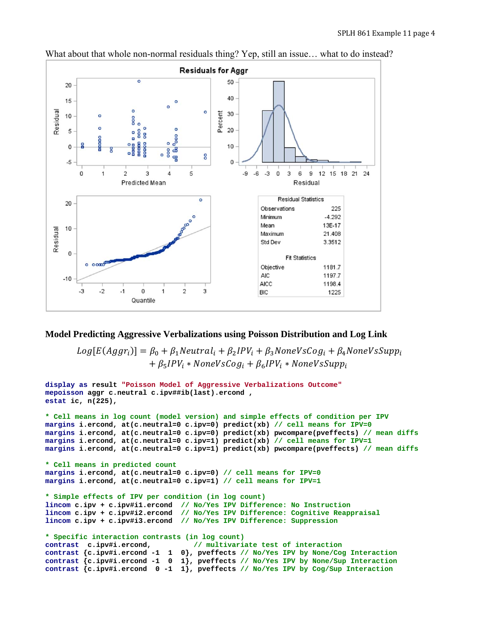

What about that whole non-normal residuals thing? Yep, still an issue... what to do instead?

# **Model Predicting Aggressive Verbalizations using Poisson Distribution and Log Link**

 $Log[E(Aggr_i)] = \beta_0 + \beta_1 Neutral_i + \beta_2 IPV_i + \beta_3 NoneVsCog_i + \beta_4 NoneVsSupp_i$  $+ \beta_5 IPV_i * NoneVsCog_i + \beta_6 IPV_i * NoneVsSupp_i$ 

```
display as result "Poisson Model of Aggressive Verbalizations Outcome"
mepoisson aggr c.neutral c.ipv##ib(last).ercond , 
estat ic, n(225), 
* Cell means in log count (model version) and simple effects of condition per IPV 
margins i.ercond, at(c.neutral=0 c.ipv=0) predict(xb) // cell means for IPV=0
margins i.ercond, at(c.neutral=0 c.ipv=0) predict(xb) pwcompare(pveffects) // mean diffs
margins i.ercond, at(c.neutral=0 c.ipv=1) predict(xb) // cell means for IPV=1
margins i.ercond, at(c.neutral=0 c.ipv=1) predict(xb) pwcompare(pveffects) // mean diffs 
* Cell means in predicted count 
margins i.ercond, at(c.neutral=0 c.ipv=0) // cell means for IPV=0 
margins i.ercond, at(c.neutral=0 c.ipv=1) // cell means for IPV=1 
* Simple effects of IPV per condition (in log count) 
lincom c.ipv + c.ipv#i1.ercond // No/Yes IPV Difference: No Instruction
lincom c.ipv + c.ipv#i2.ercond // No/Yes IPV Difference: Cognitive Reappraisal
lincom c.ipv + c.ipv#i3.ercond // No/Yes IPV Difference: Suppression
* Specific interaction contrasts (in log count) 
contrast c.ipv#i.ercond, // multivariate test of interaction
contrast {c.ipv#i.ercond -1 1 0}, pveffects // No/Yes IPV by None/Cog Interaction
contrast {c.ipv#i.ercond -1 0 1}, pveffects // No/Yes IPV by None/Sup Interaction 
contrast {c.ipv#i.ercond 0 -1 1}, pveffects // No/Yes IPV by Cog/Sup Interaction
```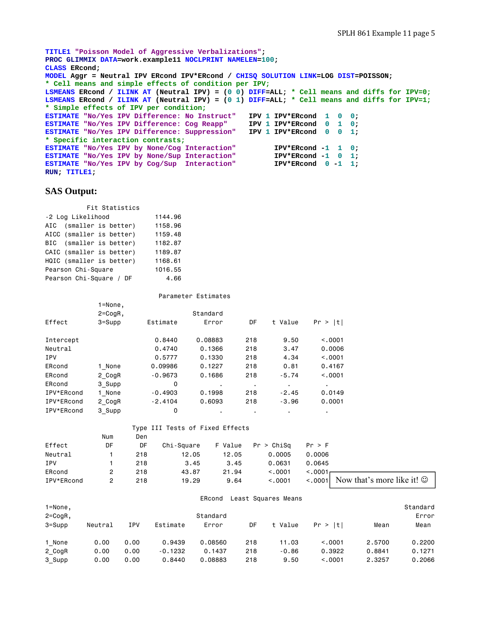```
TITLE1 "Poisson Model of Aggressive Verbalizations"; 
PROC GLIMMIX DATA=work.example11 NOCLPRINT NAMELEN=100; 
CLASS ERcond; 
MODEL Aggr = Neutral IPV ERcond IPV*ERcond / CHISQ SOLUTION LINK=LOG DIST=POISSON; 
* Cell means and simple effects of condition per IPV;
LSMEANS ERcond / ILINK AT (Neutral IPV) = (0 0) DIFF=ALL; * Cell means and diffs for IPV=0;
LSMEANS ERcond / ILINK AT (Neutral IPV) = (0 1) DIFF=ALL; * Cell means and diffs for IPV=1;
* Simple effects of IPV per condition;
ESTIMATE "No/Yes IPV Difference: No Instruct" IPV 1 IPV*ERcond 1 0 0; 
ESTIMATE "No/Yes IPV Difference: Cog Reapp" IPV 1 IPV*ERcond 0 1 0; 
ESTIMATE "No/Yes IPV Difference: Suppression" IPV 1 IPV*ERcond 0 0 1; 
* Specific interaction contrasts;
ESTIMATE "No/Yes IPV by None/Cog Interaction"  IPV*ERcond -1 1 0;<br><b>ESTIMATE "No/Yes IPV by None/Sup Interaction"  IPV*ERcond -1 0 1;
ESTIMATE "No/Yes IPV by None/Sup Interaction" IPV*ERcond -1 0 1;<br><b>ESTIMATE "No/Yes IPV by Cog/Sup Interaction" IPV*ERcond 0 -1 1;
ESTIMATE "No/Yes IPV by Cog/Sup Interaction"
RUN; TITLE1;
```
# **SAS Output:**

| Fit Statistics |                                 |         |  |  |  |  |  |  |  |  |
|----------------|---------------------------------|---------|--|--|--|--|--|--|--|--|
|                | -2 Log Likelihood               |         |  |  |  |  |  |  |  |  |
|                | AIC (smaller is better)         | 1158.96 |  |  |  |  |  |  |  |  |
|                | AICC (smaller is better)        | 1159.48 |  |  |  |  |  |  |  |  |
|                | BIC (smaller is better)         | 1182.87 |  |  |  |  |  |  |  |  |
|                | CAIC (smaller is better)        | 1189.87 |  |  |  |  |  |  |  |  |
|                | HQIC (smaller is better)        | 1168.61 |  |  |  |  |  |  |  |  |
|                | Pearson Chi-Square<br>1016.55   |         |  |  |  |  |  |  |  |  |
|                | Pearson Chi-Square / DF<br>4.66 |         |  |  |  |  |  |  |  |  |

#### Parameter Estimates

|            | 1=None,     |           |          |     |         |               |
|------------|-------------|-----------|----------|-----|---------|---------------|
|            | $2 = CogR,$ |           | Standard |     |         |               |
| Effect     | $3 =$ Supp  | Estimate  | Error    | DF  | t Value | Pr.<br>$>$  t |
| Intercept  |             | 0.8440    | 0.08883  | 218 | 9.50    | < 0.0001      |
| Neutral    |             | 0.4740    | 0.1366   | 218 | 3.47    | 0,0006        |
| <b>IPV</b> |             | 0.5777    | 0.1330   | 218 | 4.34    | < 0.0001      |
| ERcond     | 1 None      | 0.09986   | 0.1227   | 218 | 0.81    | 0.4167        |
| ERcond     | 2 CogR      | $-0.9673$ | 0.1686   | 218 | $-5.74$ | < 0.001       |
| ERcond     | 3 Supp      | 0         | ٠        | ٠   | ٠       | ٠             |
| IPV*ERcond | 1 None      | $-0.4903$ | 0.1998   | 218 | $-2.45$ | 0.0149        |
| IPV*ERcond | 2 CogR      | $-2.4104$ | 0.6093   | 218 | $-3.96$ | 0.0001        |
| IPV*ERcond | 3 Supp      | 0         |          |     | ٠       |               |

|            |     |     | Type III Tests of Fixed Effects |         |            |          |                                              |
|------------|-----|-----|---------------------------------|---------|------------|----------|----------------------------------------------|
|            | Num | Den |                                 |         |            |          |                                              |
| Effect     | DF  | DF  | Chi-Sauare                      | F Value | Pr > ChiSq | Pr > F   |                                              |
| Neutral    |     | 218 | 12.05                           | 12.05   | 0.0005     | 0.0006   |                                              |
| <b>IPV</b> |     | 218 | 3.45                            | 3.45    | 0.0631     | 0.0645   |                                              |
| ERcond     |     | 218 | 43.87                           | 21.94   | < 0.001    | < 0.0001 |                                              |
| IPV*ERcond |     | 218 | 19.29                           | 9.64    | < 0.001    |          | $\leq$ 0001 Now that's more like it! $\odot$ |

# ERcond Least Squares Means

| 1=None,      |         |            |           |          |     |         |         |        | Standard |
|--------------|---------|------------|-----------|----------|-----|---------|---------|--------|----------|
| $2 = CogR$ , |         |            |           | Standard |     |         |         |        | Error    |
| $3 =$ Supp   | Neutral | <b>IPV</b> | Estimate  | Error    | DF  | t Value | Pr >  t | Mean   | Mean     |
| 1 None       | 0.00    | 0.00       | 0.9439    | 0,08560  | 218 | 11.03   | < 0.001 | 2.5700 | 0.2200   |
| 2 CogR       | 0.00    | 0.00       | $-0.1232$ | 0.1437   | 218 | $-0.86$ | 0.3922  | 0.8841 | 0.1271   |
| 3 Supp       | 0.00    | 0.00       | 0.8440    | 0.08883  | 218 | 9.50    | < 0.001 | 2.3257 | 0.2066   |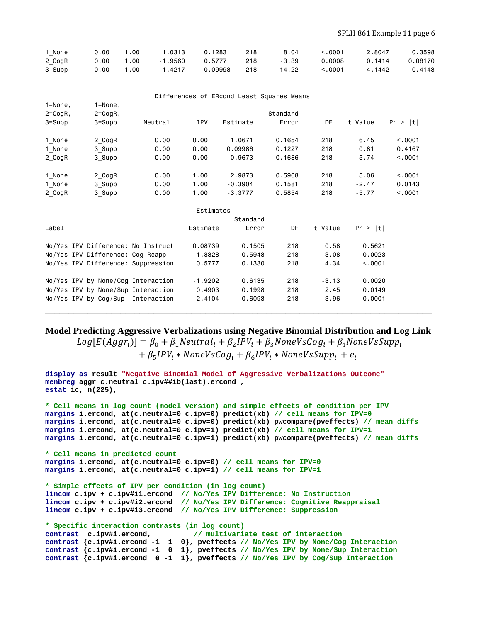| 1 None | 0.00 | .00             | .0313     | 0.1283  | 218 | 8.04    | 0001 :  | 2,8047 | 0.3598  |
|--------|------|-----------------|-----------|---------|-----|---------|---------|--------|---------|
| 2_CogR | 0.00 | $^{\circ}$ . 00 | $-1.9560$ | 0.5777  | 218 | $-3.39$ | 0,0008  | 0.1414 | 0.08170 |
| 3_Supp | 0.00 | .00             | .4217     | 0.09998 | 218 | 14.22   | < 0.001 | 4.1442 | 0.4143  |

|              |                                  |                                    |            |           | Differences of ERcond Least Squares Means |         |         |          |
|--------------|----------------------------------|------------------------------------|------------|-----------|-------------------------------------------|---------|---------|----------|
| $1 = None,$  | $1 = None,$                      |                                    |            |           |                                           |         |         |          |
| $2 = CogR$ , | $2 = CogR$ ,                     |                                    |            |           | Standard                                  |         |         |          |
| $3 = Supp$   | $3 = Supp$                       | Neutral                            | <b>IPV</b> | Estimate  | Error                                     | DF      | t Value | Pr >  t  |
| 1 None       | 2 CogR                           | 0.00                               | 0.00       | 1.0671    | 0.1654                                    | 218     | 6.45    | < 0.0001 |
| 1 None       | 3_Supp                           | 0.00                               | 0.00       | 0.09986   | 0.1227                                    | 218     | 0.81    | 0.4167   |
| 2 CogR       | 3 Supp                           | 0.00                               | 0.00       | $-0.9673$ | 0.1686                                    | 218     | $-5.74$ | < 0.001  |
| 1 None       | 2 CogR                           | 0.00                               | 1.00       | 2,9873    | 0.5908                                    | 218     | 5.06    | < .0001  |
| 1 None       | 3 Supp                           | 0.00                               | 1.00       | $-0.3904$ | 0.1581                                    | 218     | $-2.47$ | 0.0143   |
| 2 CogR       | 3 Supp                           | 0.00                               | 1.00       | $-3.3777$ | 0.5854                                    | 218     | $-5.77$ | < 0.001  |
|              |                                  |                                    | Estimates  |           |                                           |         |         |          |
|              |                                  |                                    |            | Standard  |                                           |         |         |          |
| Label        |                                  |                                    | Estimate   | Error     | DF                                        | t Value | Pr >  t |          |
|              |                                  | No/Yes IPV Difference: No Instruct | 0.08739    | 0.1505    | 218                                       | 0.58    | 0.5621  |          |
|              | No/Yes IPV Difference: Cog Reapp |                                    | $-1.8328$  | 0.5948    | 218                                       | $-3.08$ | 0.0023  |          |
|              |                                  | No/Yes IPV Difference: Suppression | 0.5777     | 0.1330    | 218                                       | 4.34    | < 0.001 |          |
|              |                                  | No/Yes IPV by None/Cog Interaction | $-1.9202$  | 0.6135    | 218                                       | $-3.13$ | 0.0020  |          |
|              |                                  | No/Yes IPV by None/Sup Interaction | 0.4903     | 0.1998    | 218                                       | 2.45    | 0.0149  |          |
|              | No/Yes IPV by Cog/Sup            | Interaction                        | 2.4104     | 0.6093    | 218                                       | 3.96    | 0.0001  |          |

# **\_\_\_\_\_\_\_\_\_\_\_\_\_\_\_\_\_\_\_\_\_\_\_\_\_\_\_\_\_\_\_\_\_\_\_\_\_\_\_\_\_\_\_\_\_\_\_\_\_\_\_\_\_\_\_\_\_\_\_\_\_\_\_\_\_\_\_\_\_\_\_\_\_\_\_\_\_\_\_\_\_\_**

**Model Predicting Aggressive Verbalizations using Negative Binomial Distribution and Log Link** 

 $Log[E(Aggr_i)] = \beta_0 + \beta_1 Neutral_i + \beta_2 IPV_i + \beta_3 NoneVsCog_i + \beta_4 NoneVsSupp_i$  $+ \beta_5 IPV_i * NoneVsCog_i + \beta_6 IPV_i * NoneVsSupp_i + e_i$ 

```
display as result "Negative Binomial Model of Aggressive Verbalizations Outcome"
menbreg aggr c.neutral c.ipv##ib(last).ercond , 
estat ic, n(225), 
* Cell means in log count (model version) and simple effects of condition per IPV 
margins i.ercond, at(c.neutral=0 c.ipv=0) predict(xb) // cell means for IPV=0
margins i.ercond, at(c.neutral=0 c.ipv=0) predict(xb) pwcompare(pveffects) // mean diffs
margins i.ercond, at(c.neutral=0 c.ipv=1) predict(xb) // cell means for IPV=1
margins i.ercond, at(c.neutral=0 c.ipv=1) predict(xb) pwcompare(pveffects) // mean diffs
* Cell means in predicted count 
margins i.ercond, at(c.neutral=0 c.ipv=0) // cell means for IPV=0 
margins i.ercond, at(c.neutral=0 c.ipv=1) // cell means for IPV=1 
* Simple effects of IPV per condition (in log count) 
lincom c.ipv + c.ipv#i1.ercond // No/Yes IPV Difference: No Instruction
lincom c.ipv + c.ipv#i2.ercond // No/Yes IPV Difference: Cognitive Reappraisal
lincom c.ipv + c.ipv#i3.ercond // No/Yes IPV Difference: Suppression
* Specific interaction contrasts (in log count) 
contrast c.ipv#i.ercond, // multivariate test of interaction
contrast {c.ipv#i.ercond -1 1 0}, pveffects // No/Yes IPV by None/Cog Interaction
contrast {c.ipv#i.ercond -1 0 1}, pveffects // No/Yes IPV by None/Sup Interaction 
contrast {c.ipv#i.ercond 0 -1 1}, pveffects // No/Yes IPV by Cog/Sup Interaction
```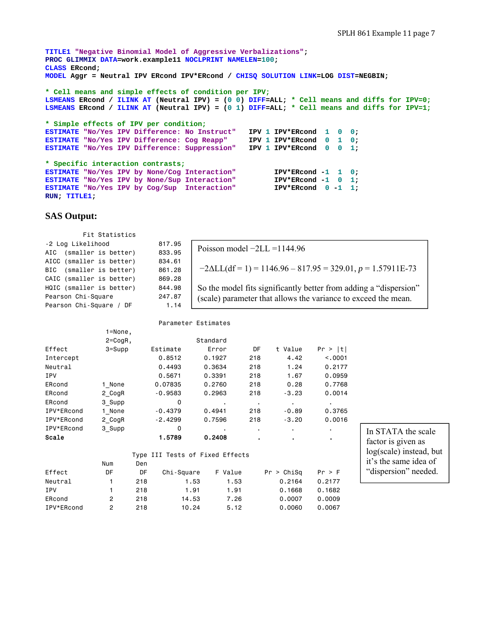```
TITLE1 "Negative Binomial Model of Aggressive Verbalizations"; 
PROC GLIMMIX DATA=work.example11 NOCLPRINT NAMELEN=100; 
CLASS ERcond; 
MODEL Aggr = Neutral IPV ERcond IPV*ERcond / CHISQ SOLUTION LINK=LOG DIST=NEGBIN; 
* Cell means and simple effects of condition per IPV;
LSMEANS ERcond / ILINK AT (Neutral IPV) = (0 0) DIFF=ALL; * Cell means and diffs for IPV=0;
LSMEANS ERcond / ILINK AT (Neutral IPV) = (0 1) DIFF=ALL; * Cell means and diffs for IPV=1;
* Simple effects of IPV per condition;
ESTIMATE "No/Yes IPV Difference: No Instruct" IPV 1 IPV*ERcond 1 0 0; 
ESTIMATE "No/Yes IPV Difference: Cog Reapp" IPV 1 IPV*ERcond 0 1 0; 
ESTIMATE "No/Yes IPV Difference: Suppression" IPV 1 IPV*ERcond 0 0 1;
* Specific interaction contrasts;
ESTIMATE "No/Yes IPV by None/Cog Interaction"  IPV*ERcond -1 1 0;<br>
<b>ESTIMATE "No/Yes IPV by None/Sup Interaction"  IPV*ERcond -1 0 1;
ESTIMATE "No/Yes IPV by None/Sup Interaction"
ESTIMATE "No/Yes IPV by Cog/Sup Interaction" IPV*ERcond 0 -1 1;
RUN; TITLE1;
```
# **SAS Output:**

| Fit Statistics             |        |                                                                   |
|----------------------------|--------|-------------------------------------------------------------------|
| -2 Log Likelihood          | 817.95 | Poisson model $-2LL = 1144.96$                                    |
| (smaller is better)<br>AIC | 833.95 |                                                                   |
| AICC (smaller is better)   | 834.61 |                                                                   |
| (smaller is better)<br>BIC | 861,28 | $-2\Delta LL(df=1) = 1146.96 - 817.95 = 329.01, p = 1.57911E-73$  |
| CAIC (smaller is better)   | 869,28 |                                                                   |
| HQIC (smaller is better)   | 844.98 | So the model fits significantly better from adding a "dispersion" |
| Pearson Chi-Square         | 247.87 | (scale) parameter that allows the variance to exceed the mean.    |
| Pearson Chi-Square / DF    | 1.14   |                                                                   |
|                            |        |                                                                   |

| Parameter Estimates |              |                  |                                 |                |            |          |  |  |  |  |
|---------------------|--------------|------------------|---------------------------------|----------------|------------|----------|--|--|--|--|
|                     | 1=None,      |                  |                                 |                |            |          |  |  |  |  |
|                     | $2 = CogR$ , |                  | Standard                        |                |            |          |  |  |  |  |
| Effect              | $3 =$ Supp   | Estimate         | Error                           | DF             | t Value    | Pr >  t  |  |  |  |  |
| Intercept           |              | 0.8512           | 0.1927                          | 218            | 4.42       | < 0.0001 |  |  |  |  |
| Neutral             |              | 0.4493           | 0.3634                          | 218            | 1.24       | 0.2177   |  |  |  |  |
| <b>IPV</b>          |              | 0.5671           | 0.3391                          | 218            | 1.67       | 0.0959   |  |  |  |  |
| ERcond              | 1 None       | 0.07835          | 0.2760                          | 218            | 0.28       | 0.7768   |  |  |  |  |
| ERcond              | 2 CogR       | $-0.9583$        | 0.2963                          | 218            | $-3.23$    | 0.0014   |  |  |  |  |
| ERcond              | 3 Supp       | 0                |                                 | $\blacksquare$ | ٠          |          |  |  |  |  |
| IPV*ERcond          | 1 None       | $-0.4379$        | 0.4941                          | 218            | $-0.89$    | 0.3765   |  |  |  |  |
| IPV*ERcond          | 2 CogR       | $-2.4299$        | 0.7596                          | 218            | $-3.20$    | 0.0016   |  |  |  |  |
| IPV*ERcond          | 3 Supp       | 0                |                                 | ٠.             |            |          |  |  |  |  |
| Scale               |              | 1.5789           | 0.2408                          | $\blacksquare$ |            |          |  |  |  |  |
|                     |              |                  | Type III Tests of Fixed Effects |                |            |          |  |  |  |  |
|                     | Num<br>Den   |                  |                                 |                |            |          |  |  |  |  |
| Effect              | DF           | DF<br>Chi-Square | F Value                         |                | Pr > Chisq | Pr > F   |  |  |  |  |
| Neutral             | 1<br>218     |                  | 1.53<br>1.53                    |                | 0.2164     | 0.2177   |  |  |  |  |

IPV 1 218 1.91 1.91 0.1668 0.1682 ERcond 2 218 14.53 7.26 0.0007 0.0009 IPV\*ERcond 2 218 10.24 5.12 0.0060 0.0067

In STATA the scale factor is given as log(scale) instead, but it's the same idea of "dispersion" needed.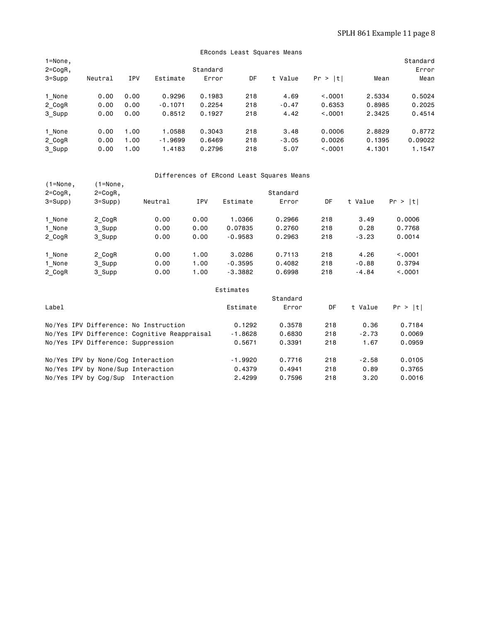|                             | ERconds Least Squares Means |            |           |          |     |         |         |        |                   |  |  |  |
|-----------------------------|-----------------------------|------------|-----------|----------|-----|---------|---------|--------|-------------------|--|--|--|
| $1 = None,$<br>$2 = CogR$ , |                             |            |           | Standard |     |         |         |        | Standard<br>Error |  |  |  |
| $3 = Supp$                  | Neutral                     | <b>IPV</b> | Estimate  | Error    | DF  | t Value | Pr >  t | Mean   | Mean              |  |  |  |
| 1 None                      | 0.00                        | 0.00       | 0.9296    | 0.1983   | 218 | 4.69    | < 0.001 | 2.5334 | 0.5024            |  |  |  |
| 2 CogR                      | 0.00                        | 0.00       | $-0.1071$ | 0.2254   | 218 | $-0.47$ | 0.6353  | 0.8985 | 0.2025            |  |  |  |
| 3 Supp                      | 0.00                        | 0.00       | 0.8512    | 0.1927   | 218 | 4.42    | < 0.001 | 2.3425 | 0.4514            |  |  |  |
| 1 None                      | 0.00                        | 1.00       | 1.0588    | 0.3043   | 218 | 3.48    | 0.0006  | 2.8829 | 0.8772            |  |  |  |
| 2_CogR                      | 0.00                        | 1.00       | $-1.9699$ | 0.6469   | 218 | $-3.05$ | 0.0026  | 0.1395 | 0.09022           |  |  |  |
| 3 Supp                      | 0.00                        | 1.00       | 1.4183    | 0.2796   | 218 | 5.07    | < 0.001 | 4.1301 | 1.1547            |  |  |  |

# Differences of ERcond Least Squares Means<br>(1=None. (1=None.

| $(1 = None,$          | $(1 = None,$ |                                              |            |           |          |     |         |         |
|-----------------------|--------------|----------------------------------------------|------------|-----------|----------|-----|---------|---------|
| $2 = CogR$ ,          | $2 = CogR$ , |                                              |            |           | Standard |     |         |         |
| $3 = Supp$ )          | $3 = Supp$ ) | Neutral                                      | <b>IPV</b> | Estimate  | Error    | DF  | t Value | Pr >  t |
| 1 None                | 2 CogR       | 0.00                                         | 0.00       | 1,0366    | 0.2966   | 218 | 3.49    | 0.0006  |
| 1 None                | 3 Supp       | 0.00                                         | 0.00       | 0.07835   | 0.2760   | 218 | 0.28    | 0.7768  |
| 2 CogR                | 3 Supp       | 0.00                                         | 0.00       | $-0.9583$ | 0.2963   | 218 | $-3.23$ | 0.0014  |
| 1 None                | 2 CogR       | 0.00                                         | 1.00       | 3.0286    | 0.7113   | 218 | 4.26    | < .0001 |
| 1 None                | 3 Supp       | 0.00                                         | 1.00       | $-0.3595$ | 0.4082   | 218 | $-0.88$ | 0.3794  |
| 2 CogR                | 3_Supp       | 0.00                                         | 1.00       | $-3.3882$ | 0.6998   | 218 | $-4.84$ | < .0001 |
|                       |              |                                              |            | Estimates |          |     |         |         |
|                       |              |                                              |            |           | Standard |     |         |         |
| Label                 |              |                                              |            | Estimate  | Error    | DF  | t Value | Pr >  t |
|                       |              | No/Yes IPV Difference: No Instruction        |            | 0.1292    | 0.3578   | 218 | 0.36    | 0.7184  |
|                       |              | No/Yes IPV Difference: Cognitive Reappraisal |            | $-1.8628$ | 0.6830   | 218 | $-2.73$ | 0.0069  |
|                       |              | No/Yes IPV Difference: Suppression           |            | 0.5671    | 0.3391   | 218 | 1.67    | 0.0959  |
|                       |              | No/Yes IPV by None/Cog Interaction           |            | $-1.9920$ | 0.7716   | 218 | $-2.58$ | 0.0105  |
|                       |              | No/Yes IPV by None/Sup Interaction           |            | 0.4379    | 0.4941   | 218 | 0.89    | 0.3765  |
| No/Yes IPV by Cog/Sup |              | Interaction                                  |            | 2.4299    | 0.7596   | 218 | 3.20    | 0.0016  |